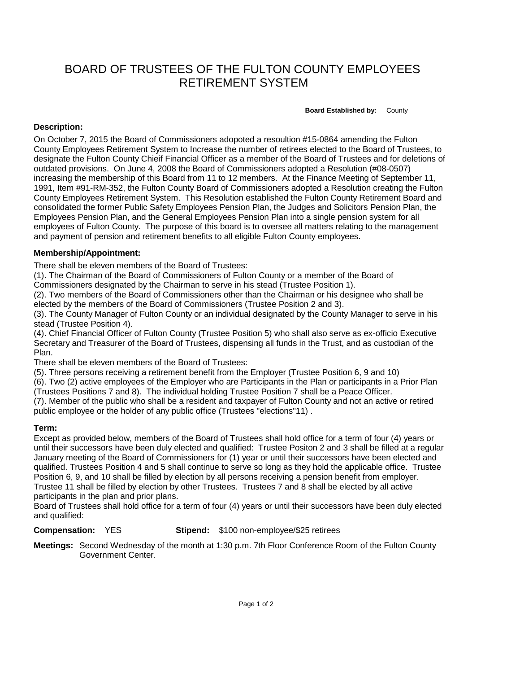## BOARD OF TRUSTEES OF THE FULTON COUNTY EMPLOYEES RETIREMENT SYSTEM

**Board Established by:** County

## **Description:**

On October 7, 2015 the Board of Commissioners adopoted a resoultion #15-0864 amending the Fulton County Employees Retirement System to Increase the number of retirees elected to the Board of Trustees, to designate the Fulton County Chieif Financial Officer as a member of the Board of Trustees and for deletions of outdated provisions. On June 4, 2008 the Board of Commissioners adopted a Resolution (#08-0507) increasing the membership of this Board from 11 to 12 members. At the Finance Meeting of September 11, 1991, Item #91-RM-352, the Fulton County Board of Commissioners adopted a Resolution creating the Fulton County Employees Retirement System. This Resolution established the Fulton County Retirement Board and consolidated the former Public Safety Employees Pension Plan, the Judges and Solicitors Pension Plan, the Employees Pension Plan, and the General Employees Pension Plan into a single pension system for all employees of Fulton County. The purpose of this board is to oversee all matters relating to the management and payment of pension and retirement benefits to all eligible Fulton County employees.

## **Membership/Appointment:**

There shall be eleven members of the Board of Trustees:

(1). The Chairman of the Board of Commissioners of Fulton County or a member of the Board of Commissioners designated by the Chairman to serve in his stead (Trustee Position 1).

(2). Two members of the Board of Commissioners other than the Chairman or his designee who shall be elected by the members of the Board of Commissioners (Trustee Position 2 and 3).

(3). The County Manager of Fulton County or an individual designated by the County Manager to serve in his stead (Trustee Position 4).

(4). Chief Financial Officer of Fulton County (Trustee Position 5) who shall also serve as ex-officio Executive Secretary and Treasurer of the Board of Trustees, dispensing all funds in the Trust, and as custodian of the Plan.

There shall be eleven members of the Board of Trustees:

(5). Three persons receiving a retirement benefit from the Employer (Trustee Position 6, 9 and 10)

(6). Two (2) active employees of the Employer who are Participants in the Plan or participants in a Prior Plan (Trustees Positions 7 and 8). The individual holding Trustee Position 7 shall be a Peace Officer.

(7). Member of the public who shall be a resident and taxpayer of Fulton County and not an active or retired public employee or the holder of any public office (Trustees "elections"11) .

## **Term:**

Except as provided below, members of the Board of Trustees shall hold office for a term of four (4) years or until their successors have been duly elected and qualified: Trustee Positon 2 and 3 shall be filled at a regular January meeting of the Board of Commissioners for (1) year or until their successors have been elected and qualified. Trustees Position 4 and 5 shall continue to serve so long as they hold the applicable office. Trustee Position 6, 9, and 10 shall be filled by election by all persons receiving a pension benefit from employer. Trustee 11 shall be filled by election by other Trustees. Trustees 7 and 8 shall be elected by all active participants in the plan and prior plans.

Board of Trustees shall hold office for a term of four (4) years or until their successors have been duly elected and qualified:

**Compensation:** YES **Stipend:** \$100 non-employee/\$25 retirees

**Meetings:** Second Wednesday of the month at 1:30 p.m. 7th Floor Conference Room of the Fulton County Government Center.